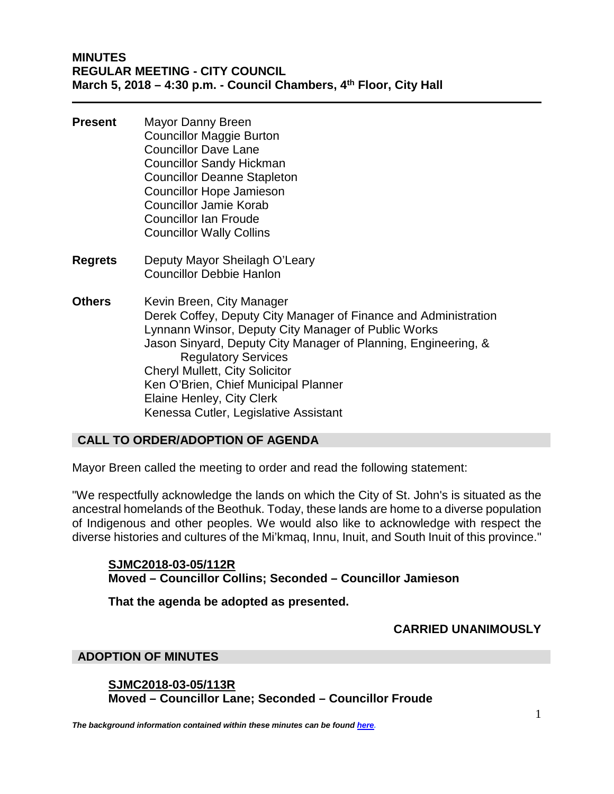## **MINUTES REGULAR MEETING - CITY COUNCIL March 5, 2018 – 4:30 p.m. - Council Chambers, 4th Floor, City Hall**

- **Present** Mayor Danny Breen Councillor Maggie Burton Councillor Dave Lane Councillor Sandy Hickman Councillor Deanne Stapleton Councillor Hope Jamieson Councillor Jamie Korab Councillor Ian Froude Councillor Wally Collins
- **Regrets** Deputy Mayor Sheilagh O'Leary Councillor Debbie Hanlon
- **Others** Kevin Breen, City Manager Derek Coffey, Deputy City Manager of Finance and Administration Lynnann Winsor, Deputy City Manager of Public Works Jason Sinyard, Deputy City Manager of Planning, Engineering, & Regulatory Services Cheryl Mullett, City Solicitor Ken O'Brien, Chief Municipal Planner Elaine Henley, City Clerk Kenessa Cutler, Legislative Assistant

# **CALL TO ORDER/ADOPTION OF AGENDA**

Mayor Breen called the meeting to order and read the following statement:

"We respectfully acknowledge the lands on which the City of St. John's is situated as the ancestral homelands of the Beothuk. Today, these lands are home to a diverse population of Indigenous and other peoples. We would also like to acknowledge with respect the diverse histories and cultures of the Mi'kmaq, Innu, Inuit, and South Inuit of this province."

# **SJMC2018-03-05/112R Moved – Councillor Collins; Seconded – Councillor Jamieson**

**That the agenda be adopted as presented.** 

### **CARRIED UNANIMOUSLY**

### **ADOPTION OF MINUTES**

**SJMC2018-03-05/113R Moved – Councillor Lane; Seconded – Councillor Froude**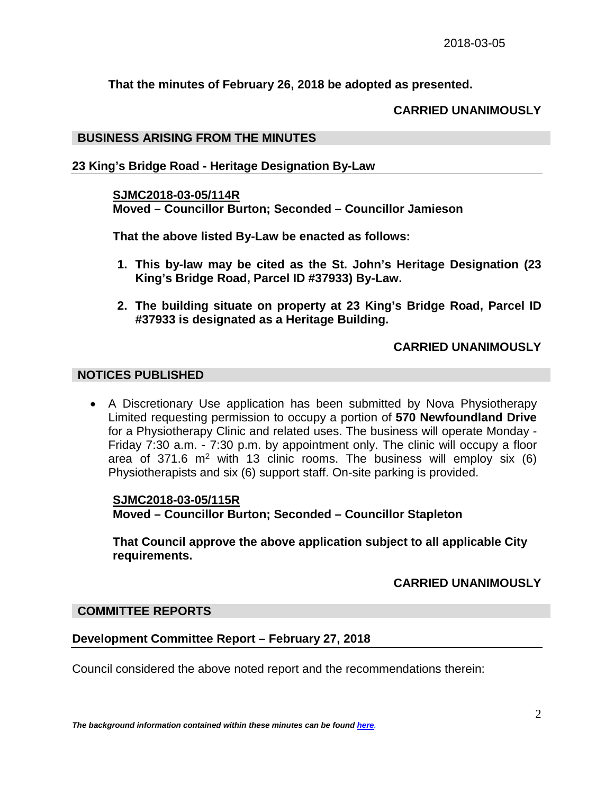**That the minutes of February 26, 2018 be adopted as presented.**

## **CARRIED UNANIMOUSLY**

### **BUSINESS ARISING FROM THE MINUTES**

## **23 King's Bridge Road - Heritage Designation By-Law**

### **SJMC2018-03-05/114R**

**Moved – Councillor Burton; Seconded – Councillor Jamieson** 

**That the above listed By-Law be enacted as follows:**

- **1. This by-law may be cited as the St. John's Heritage Designation (23 King's Bridge Road, Parcel ID #37933) By-Law.**
- **2. The building situate on property at 23 King's Bridge Road, Parcel ID #37933 is designated as a Heritage Building.**

## **CARRIED UNANIMOUSLY**

## **NOTICES PUBLISHED**

• A Discretionary Use application has been submitted by Nova Physiotherapy Limited requesting permission to occupy a portion of **570 Newfoundland Drive** for a Physiotherapy Clinic and related uses. The business will operate Monday - Friday 7:30 a.m. - 7:30 p.m. by appointment only. The clinic will occupy a floor area of 371.6  $m<sup>2</sup>$  with 13 clinic rooms. The business will employ six (6) Physiotherapists and six (6) support staff. On-site parking is provided.

### **SJMC2018-03-05/115R Moved – Councillor Burton; Seconded – Councillor Stapleton**

**That Council approve the above application subject to all applicable City requirements.**

# **CARRIED UNANIMOUSLY**

### **COMMITTEE REPORTS**

### **Development Committee Report – February 27, 2018**

Council considered the above noted report and the recommendations therein: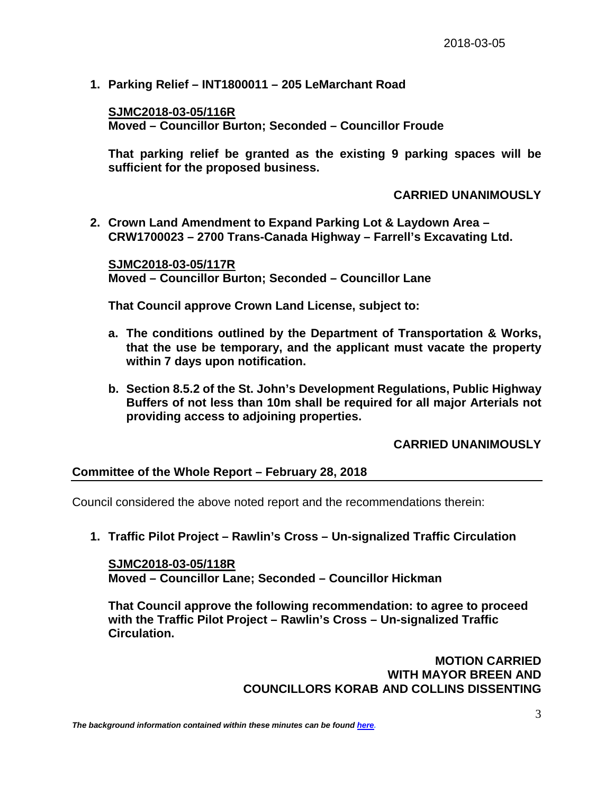**1. Parking Relief – INT1800011 – 205 LeMarchant Road**

**SJMC2018-03-05/116R Moved – Councillor Burton; Seconded – Councillor Froude** 

**That parking relief be granted as the existing 9 parking spaces will be sufficient for the proposed business.**

#### **CARRIED UNANIMOUSLY**

**2. Crown Land Amendment to Expand Parking Lot & Laydown Area – CRW1700023 – 2700 Trans-Canada Highway – Farrell's Excavating Ltd.**

**SJMC2018-03-05/117R Moved – Councillor Burton; Seconded – Councillor Lane**

**That Council approve Crown Land License, subject to:**

- **a. The conditions outlined by the Department of Transportation & Works, that the use be temporary, and the applicant must vacate the property within 7 days upon notification.**
- **b. Section 8.5.2 of the St. John's Development Regulations, Public Highway Buffers of not less than 10m shall be required for all major Arterials not providing access to adjoining properties.**

#### **CARRIED UNANIMOUSLY**

#### **Committee of the Whole Report – February 28, 2018**

Council considered the above noted report and the recommendations therein:

**1. Traffic Pilot Project – Rawlin's Cross – Un-signalized Traffic Circulation**

**SJMC2018-03-05/118R Moved – Councillor Lane; Seconded – Councillor Hickman**

**That Council approve the following recommendation: to agree to proceed with the Traffic Pilot Project – Rawlin's Cross – Un-signalized Traffic Circulation.**

> **MOTION CARRIED WITH MAYOR BREEN AND COUNCILLORS KORAB AND COLLINS DISSENTING**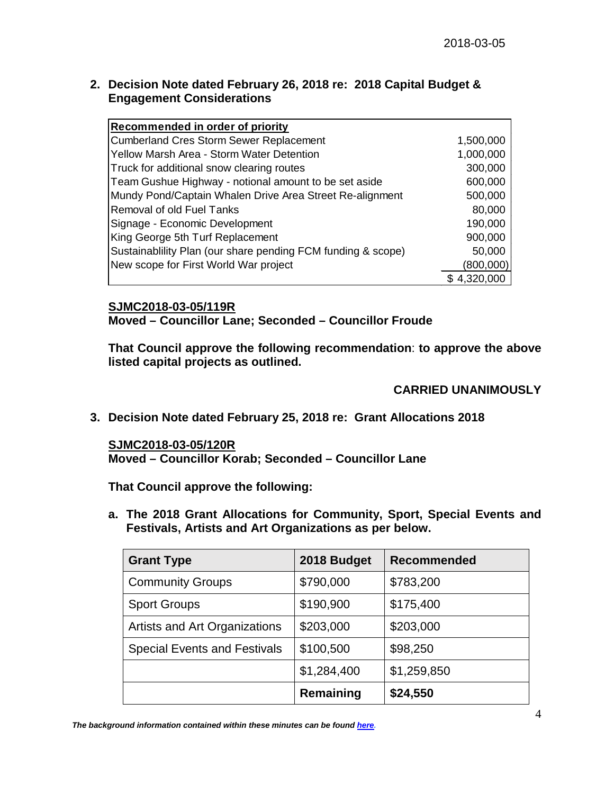## **2. Decision Note dated February 26, 2018 re: 2018 Capital Budget & Engagement Considerations**

| Recommended in order of priority                            |             |
|-------------------------------------------------------------|-------------|
| <b>Cumberland Cres Storm Sewer Replacement</b>              | 1,500,000   |
| Yellow Marsh Area - Storm Water Detention                   | 1,000,000   |
| Truck for additional snow clearing routes                   | 300,000     |
| Team Gushue Highway - notional amount to be set aside       | 600,000     |
| Mundy Pond/Captain Whalen Drive Area Street Re-alignment    | 500,000     |
| <b>Removal of old Fuel Tanks</b>                            | 80,000      |
| Signage - Economic Development                              | 190,000     |
| King George 5th Turf Replacement                            | 900,000     |
| Sustainability Plan (our share pending FCM funding & scope) | 50,000      |
| New scope for First World War project                       | (800,000)   |
|                                                             | \$4,320,000 |

# **SJMC2018-03-05/119R**

**Moved – Councillor Lane; Seconded – Councillor Froude**

**That Council approve the following recommendation**: **to approve the above listed capital projects as outlined.**

## **CARRIED UNANIMOUSLY**

**3. Decision Note dated February 25, 2018 re: Grant Allocations 2018**

### **SJMC2018-03-05/120R**

**Moved – Councillor Korab; Seconded – Councillor Lane** 

**That Council approve the following:**

**a. The 2018 Grant Allocations for Community, Sport, Special Events and Festivals, Artists and Art Organizations as per below.**

| <b>Grant Type</b>                   | 2018 Budget | <b>Recommended</b> |
|-------------------------------------|-------------|--------------------|
| <b>Community Groups</b>             | \$790,000   | \$783,200          |
| <b>Sport Groups</b>                 | \$190,900   | \$175,400          |
| Artists and Art Organizations       | \$203,000   | \$203,000          |
| <b>Special Events and Festivals</b> | \$100,500   | \$98,250           |
|                                     | \$1,284,400 | \$1,259,850        |
|                                     | Remaining   | \$24,550           |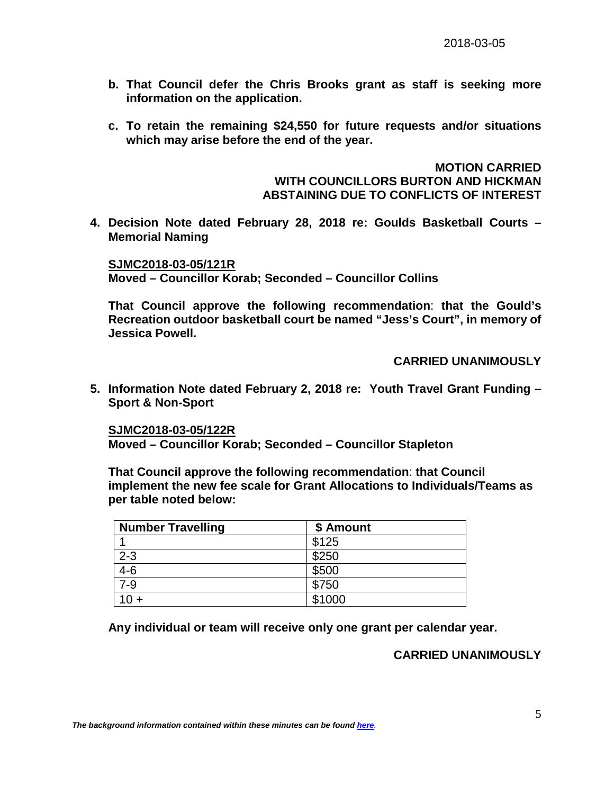- **b. That Council defer the Chris Brooks grant as staff is seeking more information on the application.**
- **c. To retain the remaining \$24,550 for future requests and/or situations which may arise before the end of the year.**

**MOTION CARRIED WITH COUNCILLORS BURTON AND HICKMAN ABSTAINING DUE TO CONFLICTS OF INTEREST**

**4. Decision Note dated February 28, 2018 re: Goulds Basketball Courts – Memorial Naming**

**SJMC2018-03-05/121R Moved – Councillor Korab; Seconded – Councillor Collins**

**That Council approve the following recommendation**: **that the Gould's Recreation outdoor basketball court be named "Jess's Court", in memory of Jessica Powell.**

**CARRIED UNANIMOUSLY**

**5. Information Note dated February 2, 2018 re: Youth Travel Grant Funding – Sport & Non-Sport**

**SJMC2018-03-05/122R Moved – Councillor Korab; Seconded – Councillor Stapleton**

**That Council approve the following recommendation**: **that Council implement the new fee scale for Grant Allocations to Individuals/Teams as per table noted below:**

| <b>Number Travelling</b> | \$ Amount |  |
|--------------------------|-----------|--|
|                          | \$125     |  |
| $2 - 3$                  | \$250     |  |
| $4-6$                    | \$500     |  |
| $7-9$                    | \$750     |  |
|                          | \$1000    |  |

**Any individual or team will receive only one grant per calendar year.** 

# **CARRIED UNANIMOUSLY**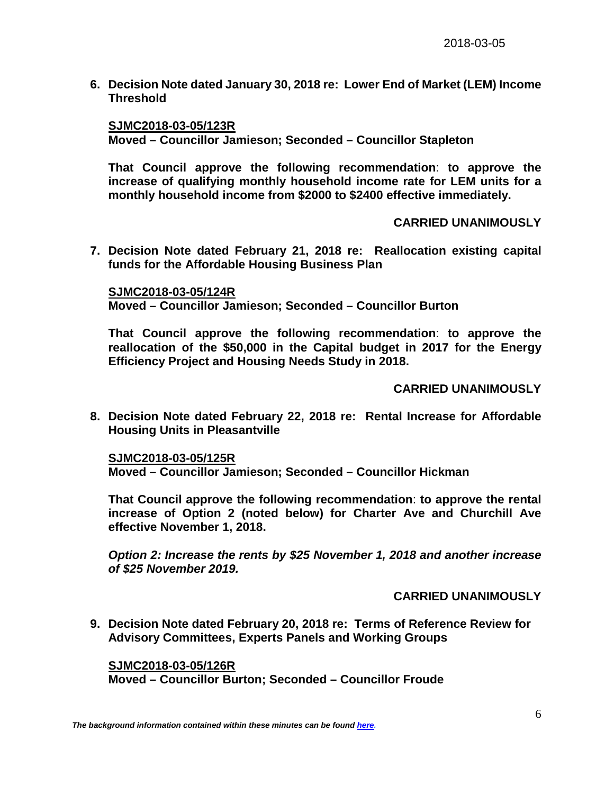**6. Decision Note dated January 30, 2018 re: Lower End of Market (LEM) Income Threshold**

#### **SJMC2018-03-05/123R**

**Moved – Councillor Jamieson; Seconded – Councillor Stapleton**

**That Council approve the following recommendation**: **to approve the increase of qualifying monthly household income rate for LEM units for a monthly household income from \$2000 to \$2400 effective immediately.** 

### **CARRIED UNANIMOUSLY**

**7. Decision Note dated February 21, 2018 re: Reallocation existing capital funds for the Affordable Housing Business Plan**

**SJMC2018-03-05/124R Moved – Councillor Jamieson; Seconded – Councillor Burton**

**That Council approve the following recommendation**: **to approve the reallocation of the \$50,000 in the Capital budget in 2017 for the Energy Efficiency Project and Housing Needs Study in 2018.**

## **CARRIED UNANIMOUSLY**

**8. Decision Note dated February 22, 2018 re: Rental Increase for Affordable Housing Units in Pleasantville**

**SJMC2018-03-05/125R Moved – Councillor Jamieson; Seconded – Councillor Hickman**

**That Council approve the following recommendation**: **to approve the rental increase of Option 2 (noted below) for Charter Ave and Churchill Ave effective November 1, 2018.**

*Option 2: Increase the rents by \$25 November 1, 2018 and another increase of \$25 November 2019.*

### **CARRIED UNANIMOUSLY**

**9. Decision Note dated February 20, 2018 re: Terms of Reference Review for Advisory Committees, Experts Panels and Working Groups**

**SJMC2018-03-05/126R Moved – Councillor Burton; Seconded – Councillor Froude**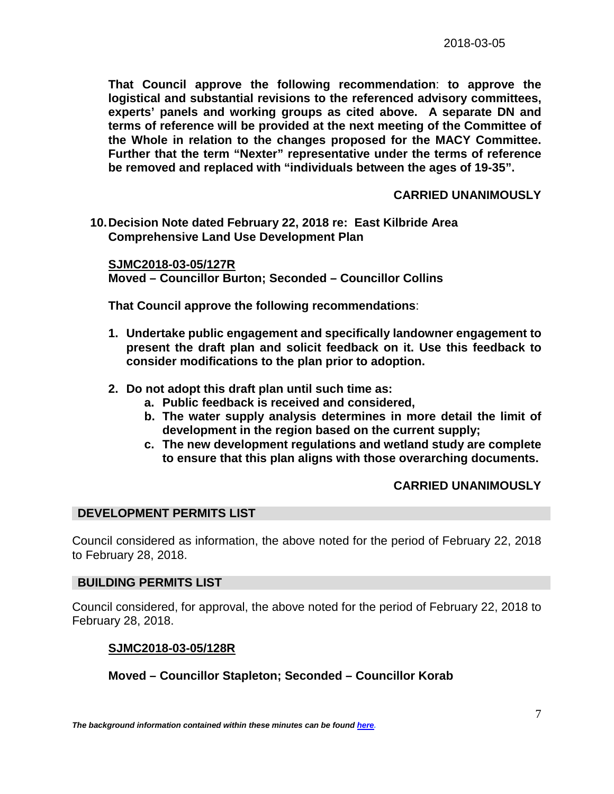**That Council approve the following recommendation**: **to approve the logistical and substantial revisions to the referenced advisory committees, experts' panels and working groups as cited above. A separate DN and terms of reference will be provided at the next meeting of the Committee of the Whole in relation to the changes proposed for the MACY Committee. Further that the term "Nexter" representative under the terms of reference be removed and replaced with "individuals between the ages of 19-35".**

### **CARRIED UNANIMOUSLY**

**10.Decision Note dated February 22, 2018 re: East Kilbride Area Comprehensive Land Use Development Plan**

**SJMC2018-03-05/127R Moved – Councillor Burton; Seconded – Councillor Collins**

**That Council approve the following recommendations**:

- **1. Undertake public engagement and specifically landowner engagement to present the draft plan and solicit feedback on it. Use this feedback to consider modifications to the plan prior to adoption.**
- **2. Do not adopt this draft plan until such time as:**
	- **a. Public feedback is received and considered,**
	- **b. The water supply analysis determines in more detail the limit of development in the region based on the current supply;**
	- **c. The new development regulations and wetland study are complete to ensure that this plan aligns with those overarching documents.**

### **CARRIED UNANIMOUSLY**

### **DEVELOPMENT PERMITS LIST**

Council considered as information, the above noted for the period of February 22, 2018 to February 28, 2018.

### **BUILDING PERMITS LIST**

Council considered, for approval, the above noted for the period of February 22, 2018 to February 28, 2018.

### **SJMC2018-03-05/128R**

# **Moved – Councillor Stapleton; Seconded – Councillor Korab**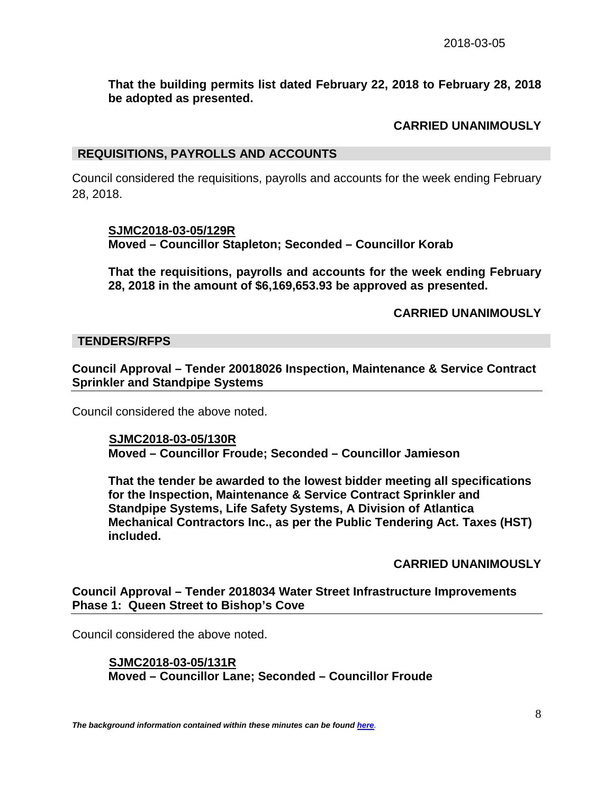## **That the building permits list dated February 22, 2018 to February 28, 2018 be adopted as presented.**

# **CARRIED UNANIMOUSLY**

#### **REQUISITIONS, PAYROLLS AND ACCOUNTS**

Council considered the requisitions, payrolls and accounts for the week ending February 28, 2018.

#### **SJMC2018-03-05/129R**

**Moved – Councillor Stapleton; Seconded – Councillor Korab**

**That the requisitions, payrolls and accounts for the week ending February 28, 2018 in the amount of \$6,169,653.93 be approved as presented.**

**CARRIED UNANIMOUSLY**

#### **TENDERS/RFPS**

**Council Approval – Tender 20018026 Inspection, Maintenance & Service Contract Sprinkler and Standpipe Systems**

Council considered the above noted.

 **SJMC2018-03-05/130R Moved – Councillor Froude; Seconded – Councillor Jamieson**

**That the tender be awarded to the lowest bidder meeting all specifications for the Inspection, Maintenance & Service Contract Sprinkler and Standpipe Systems, Life Safety Systems, A Division of Atlantica Mechanical Contractors Inc., as per the Public Tendering Act. Taxes (HST) included.** 

**CARRIED UNANIMOUSLY**

**Council Approval – Tender 2018034 Water Street Infrastructure Improvements Phase 1: Queen Street to Bishop's Cove**

Council considered the above noted.

 **SJMC2018-03-05/131R Moved – Councillor Lane; Seconded – Councillor Froude**